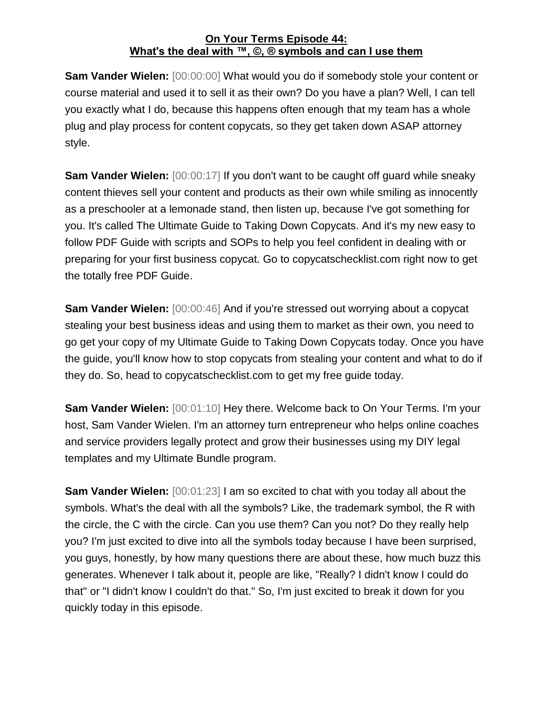**Sam Vander Wielen:** [00:00:00] What would you do if somebody stole your content or course material and used it to sell it as their own? Do you have a plan? Well, I can tell you exactly what I do, because this happens often enough that my team has a whole plug and play process for content copycats, so they get taken down ASAP attorney style.

**Sam Vander Wielen:** [00:00:17] If you don't want to be caught off guard while sneaky content thieves sell your content and products as their own while smiling as innocently as a preschooler at a lemonade stand, then listen up, because I've got something for you. It's called The Ultimate Guide to Taking Down Copycats. And it's my new easy to follow PDF Guide with scripts and SOPs to help you feel confident in dealing with or preparing for your first business copycat. Go to copycatschecklist.com right now to get the totally free PDF Guide.

**Sam Vander Wielen:** [00:00:46] And if you're stressed out worrying about a copycat stealing your best business ideas and using them to market as their own, you need to go get your copy of my Ultimate Guide to Taking Down Copycats today. Once you have the guide, you'll know how to stop copycats from stealing your content and what to do if they do. So, head to copycatschecklist.com to get my free guide today.

**Sam Vander Wielen:** [00:01:10] Hey there. Welcome back to On Your Terms. I'm your host, Sam Vander Wielen. I'm an attorney turn entrepreneur who helps online coaches and service providers legally protect and grow their businesses using my DIY legal templates and my Ultimate Bundle program.

**Sam Vander Wielen:**  $[00:01:23]$  I am so excited to chat with you today all about the symbols. What's the deal with all the symbols? Like, the trademark symbol, the R with the circle, the C with the circle. Can you use them? Can you not? Do they really help you? I'm just excited to dive into all the symbols today because I have been surprised, you guys, honestly, by how many questions there are about these, how much buzz this generates. Whenever I talk about it, people are like, "Really? I didn't know I could do that" or "I didn't know I couldn't do that." So, I'm just excited to break it down for you quickly today in this episode.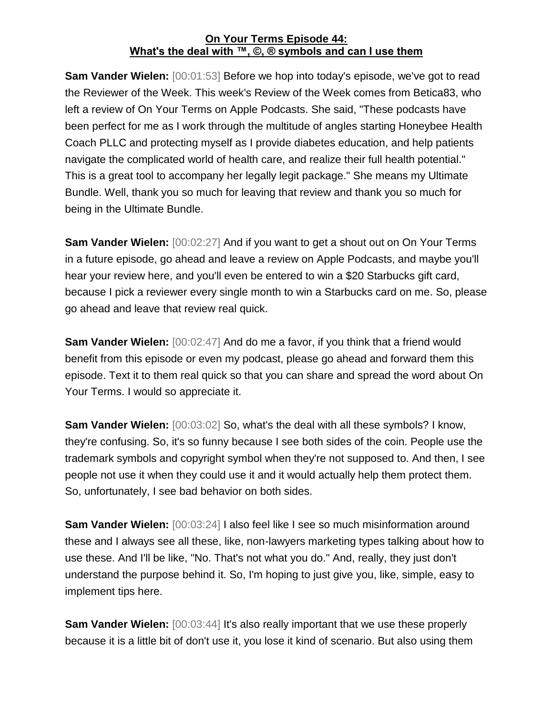**Sam Vander Wielen:** [00:01:53] Before we hop into today's episode, we've got to read the Reviewer of the Week. This week's Review of the Week comes from Betica83, who left a review of On Your Terms on Apple Podcasts. She said, "These podcasts have been perfect for me as I work through the multitude of angles starting Honeybee Health Coach PLLC and protecting myself as I provide diabetes education, and help patients navigate the complicated world of health care, and realize their full health potential." This is a great tool to accompany her legally legit package." She means my Ultimate Bundle. Well, thank you so much for leaving that review and thank you so much for being in the Ultimate Bundle.

**Sam Vander Wielen:** [00:02:27] And if you want to get a shout out on On Your Terms in a future episode, go ahead and leave a review on Apple Podcasts, and maybe you'll hear your review here, and you'll even be entered to win a \$20 Starbucks gift card, because I pick a reviewer every single month to win a Starbucks card on me. So, please go ahead and leave that review real quick.

**Sam Vander Wielen:** [00:02:47] And do me a favor, if you think that a friend would benefit from this episode or even my podcast, please go ahead and forward them this episode. Text it to them real quick so that you can share and spread the word about On Your Terms. I would so appreciate it.

**Sam Vander Wielen:** [00:03:02] So, what's the deal with all these symbols? I know, they're confusing. So, it's so funny because I see both sides of the coin. People use the trademark symbols and copyright symbol when they're not supposed to. And then, I see people not use it when they could use it and it would actually help them protect them. So, unfortunately, I see bad behavior on both sides.

**Sam Vander Wielen:** [00:03:24] I also feel like I see so much misinformation around these and I always see all these, like, non-lawyers marketing types talking about how to use these. And I'll be like, "No. That's not what you do." And, really, they just don't understand the purpose behind it. So, I'm hoping to just give you, like, simple, easy to implement tips here.

**Sam Vander Wielen:** [00:03:44] It's also really important that we use these properly because it is a little bit of don't use it, you lose it kind of scenario. But also using them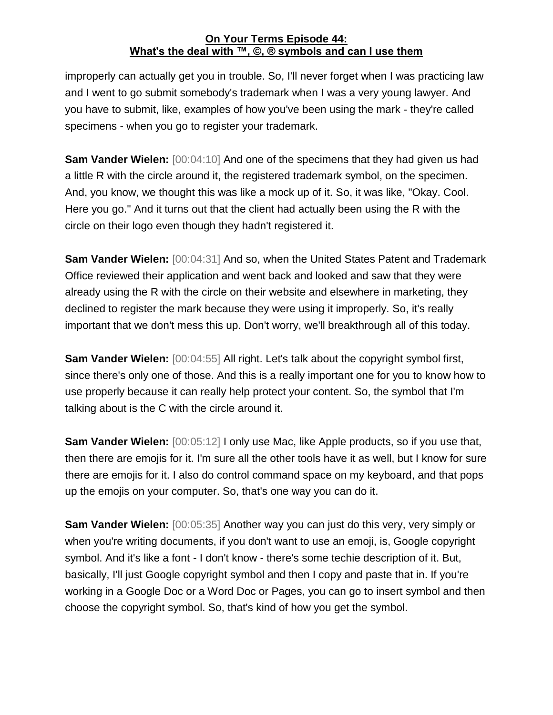improperly can actually get you in trouble. So, I'll never forget when I was practicing law and I went to go submit somebody's trademark when I was a very young lawyer. And you have to submit, like, examples of how you've been using the mark - they're called specimens - when you go to register your trademark.

**Sam Vander Wielen:** [00:04:10] And one of the specimens that they had given us had a little R with the circle around it, the registered trademark symbol, on the specimen. And, you know, we thought this was like a mock up of it. So, it was like, "Okay. Cool. Here you go." And it turns out that the client had actually been using the R with the circle on their logo even though they hadn't registered it.

**Sam Vander Wielen:** [00:04:31] And so, when the United States Patent and Trademark Office reviewed their application and went back and looked and saw that they were already using the R with the circle on their website and elsewhere in marketing, they declined to register the mark because they were using it improperly. So, it's really important that we don't mess this up. Don't worry, we'll breakthrough all of this today.

**Sam Vander Wielen:** [00:04:55] All right. Let's talk about the copyright symbol first, since there's only one of those. And this is a really important one for you to know how to use properly because it can really help protect your content. So, the symbol that I'm talking about is the C with the circle around it.

**Sam Vander Wielen:**  $[00:05:12]$  I only use Mac, like Apple products, so if you use that, then there are emojis for it. I'm sure all the other tools have it as well, but I know for sure there are emojis for it. I also do control command space on my keyboard, and that pops up the emojis on your computer. So, that's one way you can do it.

**Sam Vander Wielen:** [00:05:35] Another way you can just do this very, very simply or when you're writing documents, if you don't want to use an emoji, is, Google copyright symbol. And it's like a font - I don't know - there's some techie description of it. But, basically, I'll just Google copyright symbol and then I copy and paste that in. If you're working in a Google Doc or a Word Doc or Pages, you can go to insert symbol and then choose the copyright symbol. So, that's kind of how you get the symbol.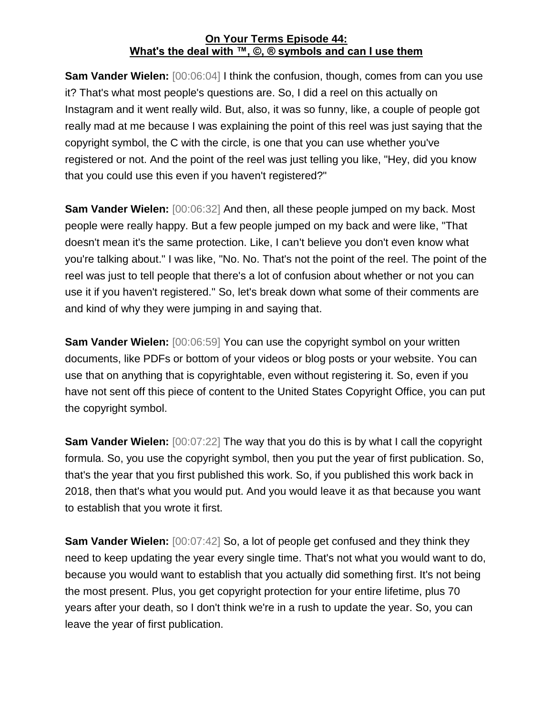**Sam Vander Wielen:** [00:06:04] I think the confusion, though, comes from can you use it? That's what most people's questions are. So, I did a reel on this actually on Instagram and it went really wild. But, also, it was so funny, like, a couple of people got really mad at me because I was explaining the point of this reel was just saying that the copyright symbol, the C with the circle, is one that you can use whether you've registered or not. And the point of the reel was just telling you like, "Hey, did you know that you could use this even if you haven't registered?"

**Sam Vander Wielen:** [00:06:32] And then, all these people jumped on my back. Most people were really happy. But a few people jumped on my back and were like, "That doesn't mean it's the same protection. Like, I can't believe you don't even know what you're talking about." I was like, "No. No. That's not the point of the reel. The point of the reel was just to tell people that there's a lot of confusion about whether or not you can use it if you haven't registered." So, let's break down what some of their comments are and kind of why they were jumping in and saying that.

**Sam Vander Wielen:** [00:06:59] You can use the copyright symbol on your written documents, like PDFs or bottom of your videos or blog posts or your website. You can use that on anything that is copyrightable, even without registering it. So, even if you have not sent off this piece of content to the United States Copyright Office, you can put the copyright symbol.

**Sam Vander Wielen:** [00:07:22] The way that you do this is by what I call the copyright formula. So, you use the copyright symbol, then you put the year of first publication. So, that's the year that you first published this work. So, if you published this work back in 2018, then that's what you would put. And you would leave it as that because you want to establish that you wrote it first.

**Sam Vander Wielen:** [00:07:42] So, a lot of people get confused and they think they need to keep updating the year every single time. That's not what you would want to do, because you would want to establish that you actually did something first. It's not being the most present. Plus, you get copyright protection for your entire lifetime, plus 70 years after your death, so I don't think we're in a rush to update the year. So, you can leave the year of first publication.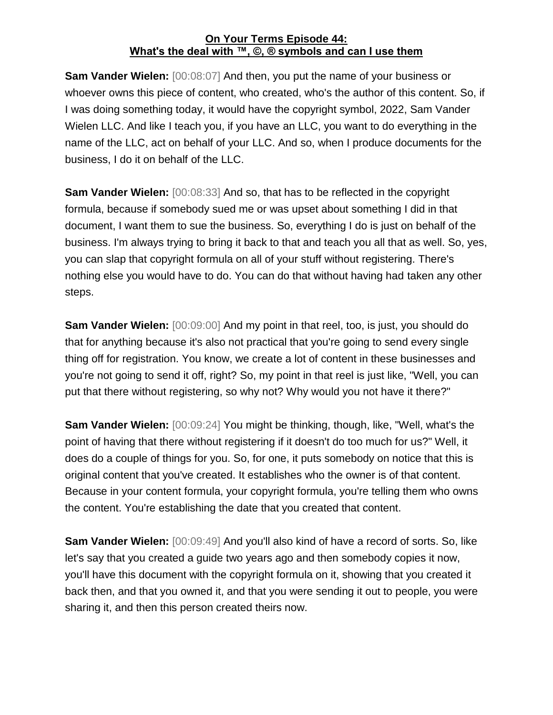**Sam Vander Wielen:** [00:08:07] And then, you put the name of your business or whoever owns this piece of content, who created, who's the author of this content. So, if I was doing something today, it would have the copyright symbol, 2022, Sam Vander Wielen LLC. And like I teach you, if you have an LLC, you want to do everything in the name of the LLC, act on behalf of your LLC. And so, when I produce documents for the business, I do it on behalf of the LLC.

**Sam Vander Wielen:** [00:08:33] And so, that has to be reflected in the copyright formula, because if somebody sued me or was upset about something I did in that document, I want them to sue the business. So, everything I do is just on behalf of the business. I'm always trying to bring it back to that and teach you all that as well. So, yes, you can slap that copyright formula on all of your stuff without registering. There's nothing else you would have to do. You can do that without having had taken any other steps.

**Sam Vander Wielen:** [00:09:00] And my point in that reel, too, is just, you should do that for anything because it's also not practical that you're going to send every single thing off for registration. You know, we create a lot of content in these businesses and you're not going to send it off, right? So, my point in that reel is just like, "Well, you can put that there without registering, so why not? Why would you not have it there?"

**Sam Vander Wielen:** [00:09:24] You might be thinking, though, like, "Well, what's the point of having that there without registering if it doesn't do too much for us?" Well, it does do a couple of things for you. So, for one, it puts somebody on notice that this is original content that you've created. It establishes who the owner is of that content. Because in your content formula, your copyright formula, you're telling them who owns the content. You're establishing the date that you created that content.

**Sam Vander Wielen:** [00:09:49] And you'll also kind of have a record of sorts. So, like let's say that you created a guide two years ago and then somebody copies it now, you'll have this document with the copyright formula on it, showing that you created it back then, and that you owned it, and that you were sending it out to people, you were sharing it, and then this person created theirs now.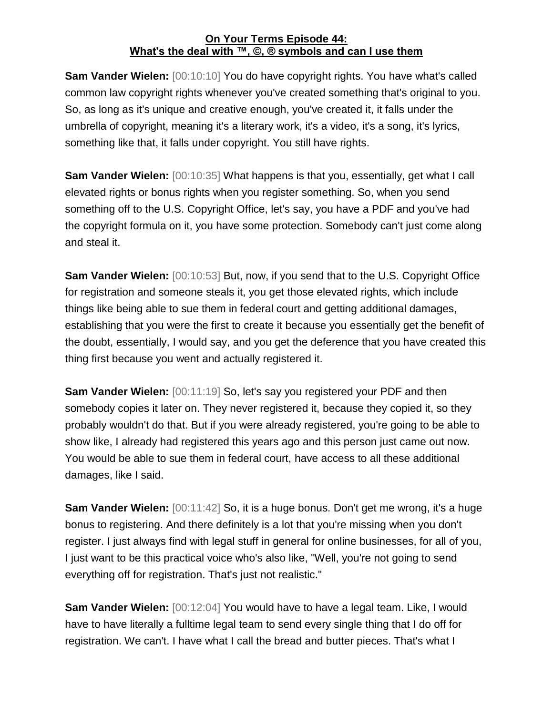**Sam Vander Wielen:** [00:10:10] You do have copyright rights. You have what's called common law copyright rights whenever you've created something that's original to you. So, as long as it's unique and creative enough, you've created it, it falls under the umbrella of copyright, meaning it's a literary work, it's a video, it's a song, it's lyrics, something like that, it falls under copyright. You still have rights.

**Sam Vander Wielen:** [00:10:35] What happens is that you, essentially, get what I call elevated rights or bonus rights when you register something. So, when you send something off to the U.S. Copyright Office, let's say, you have a PDF and you've had the copyright formula on it, you have some protection. Somebody can't just come along and steal it.

**Sam Vander Wielen:** [00:10:53] But, now, if you send that to the U.S. Copyright Office for registration and someone steals it, you get those elevated rights, which include things like being able to sue them in federal court and getting additional damages, establishing that you were the first to create it because you essentially get the benefit of the doubt, essentially, I would say, and you get the deference that you have created this thing first because you went and actually registered it.

**Sam Vander Wielen:** [00:11:19] So, let's say you registered your PDF and then somebody copies it later on. They never registered it, because they copied it, so they probably wouldn't do that. But if you were already registered, you're going to be able to show like, I already had registered this years ago and this person just came out now. You would be able to sue them in federal court, have access to all these additional damages, like I said.

**Sam Vander Wielen:** [00:11:42] So, it is a huge bonus. Don't get me wrong, it's a huge bonus to registering. And there definitely is a lot that you're missing when you don't register. I just always find with legal stuff in general for online businesses, for all of you, I just want to be this practical voice who's also like, "Well, you're not going to send everything off for registration. That's just not realistic."

**Sam Vander Wielen:** [00:12:04] You would have to have a legal team. Like, I would have to have literally a fulltime legal team to send every single thing that I do off for registration. We can't. I have what I call the bread and butter pieces. That's what I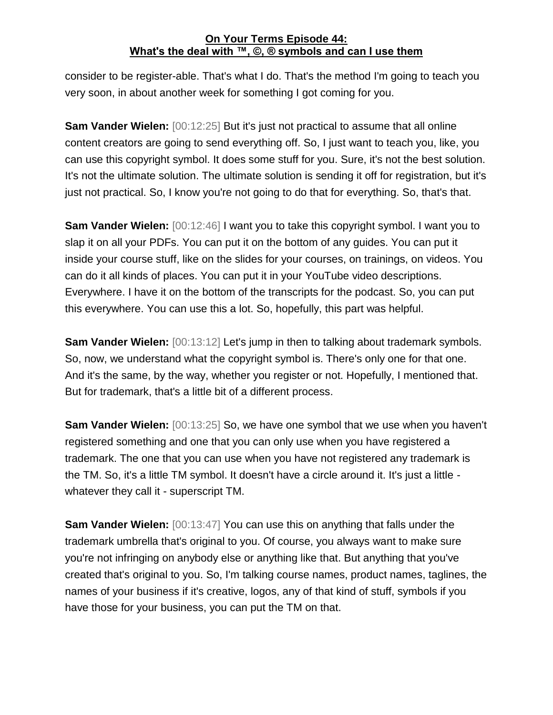consider to be register-able. That's what I do. That's the method I'm going to teach you very soon, in about another week for something I got coming for you.

**Sam Vander Wielen:** [00:12:25] But it's just not practical to assume that all online content creators are going to send everything off. So, I just want to teach you, like, you can use this copyright symbol. It does some stuff for you. Sure, it's not the best solution. It's not the ultimate solution. The ultimate solution is sending it off for registration, but it's just not practical. So, I know you're not going to do that for everything. So, that's that.

**Sam Vander Wielen:** [00:12:46] I want you to take this copyright symbol. I want you to slap it on all your PDFs. You can put it on the bottom of any guides. You can put it inside your course stuff, like on the slides for your courses, on trainings, on videos. You can do it all kinds of places. You can put it in your YouTube video descriptions. Everywhere. I have it on the bottom of the transcripts for the podcast. So, you can put this everywhere. You can use this a lot. So, hopefully, this part was helpful.

**Sam Vander Wielen:** [00:13:12] Let's jump in then to talking about trademark symbols. So, now, we understand what the copyright symbol is. There's only one for that one. And it's the same, by the way, whether you register or not. Hopefully, I mentioned that. But for trademark, that's a little bit of a different process.

**Sam Vander Wielen:** [00:13:25] So, we have one symbol that we use when you haven't registered something and one that you can only use when you have registered a trademark. The one that you can use when you have not registered any trademark is the TM. So, it's a little TM symbol. It doesn't have a circle around it. It's just a little whatever they call it - superscript TM.

**Sam Vander Wielen:** [00:13:47] You can use this on anything that falls under the trademark umbrella that's original to you. Of course, you always want to make sure you're not infringing on anybody else or anything like that. But anything that you've created that's original to you. So, I'm talking course names, product names, taglines, the names of your business if it's creative, logos, any of that kind of stuff, symbols if you have those for your business, you can put the TM on that.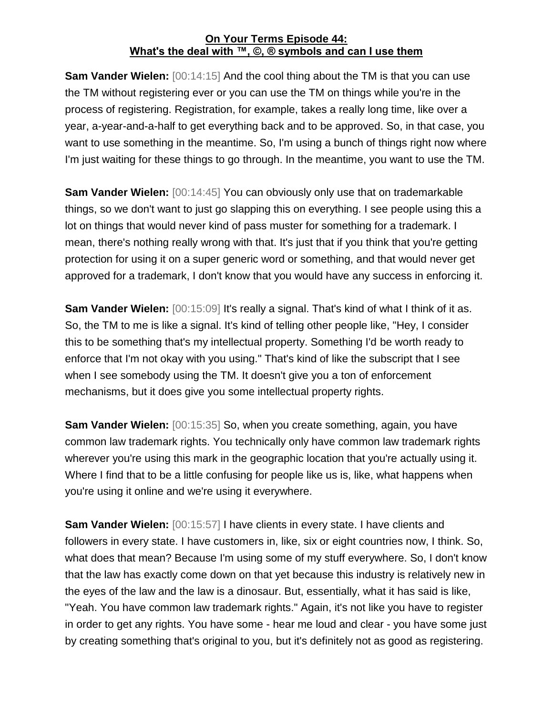**Sam Vander Wielen:** [00:14:15] And the cool thing about the TM is that you can use the TM without registering ever or you can use the TM on things while you're in the process of registering. Registration, for example, takes a really long time, like over a year, a-year-and-a-half to get everything back and to be approved. So, in that case, you want to use something in the meantime. So, I'm using a bunch of things right now where I'm just waiting for these things to go through. In the meantime, you want to use the TM.

**Sam Vander Wielen:** [00:14:45] You can obviously only use that on trademarkable things, so we don't want to just go slapping this on everything. I see people using this a lot on things that would never kind of pass muster for something for a trademark. I mean, there's nothing really wrong with that. It's just that if you think that you're getting protection for using it on a super generic word or something, and that would never get approved for a trademark, I don't know that you would have any success in enforcing it.

**Sam Vander Wielen:** [00:15:09] It's really a signal. That's kind of what I think of it as. So, the TM to me is like a signal. It's kind of telling other people like, "Hey, I consider this to be something that's my intellectual property. Something I'd be worth ready to enforce that I'm not okay with you using." That's kind of like the subscript that I see when I see somebody using the TM. It doesn't give you a ton of enforcement mechanisms, but it does give you some intellectual property rights.

**Sam Vander Wielen:** [00:15:35] So, when you create something, again, you have common law trademark rights. You technically only have common law trademark rights wherever you're using this mark in the geographic location that you're actually using it. Where I find that to be a little confusing for people like us is, like, what happens when you're using it online and we're using it everywhere.

**Sam Vander Wielen:** [00:15:57] I have clients in every state. I have clients and followers in every state. I have customers in, like, six or eight countries now, I think. So, what does that mean? Because I'm using some of my stuff everywhere. So, I don't know that the law has exactly come down on that yet because this industry is relatively new in the eyes of the law and the law is a dinosaur. But, essentially, what it has said is like, "Yeah. You have common law trademark rights." Again, it's not like you have to register in order to get any rights. You have some - hear me loud and clear - you have some just by creating something that's original to you, but it's definitely not as good as registering.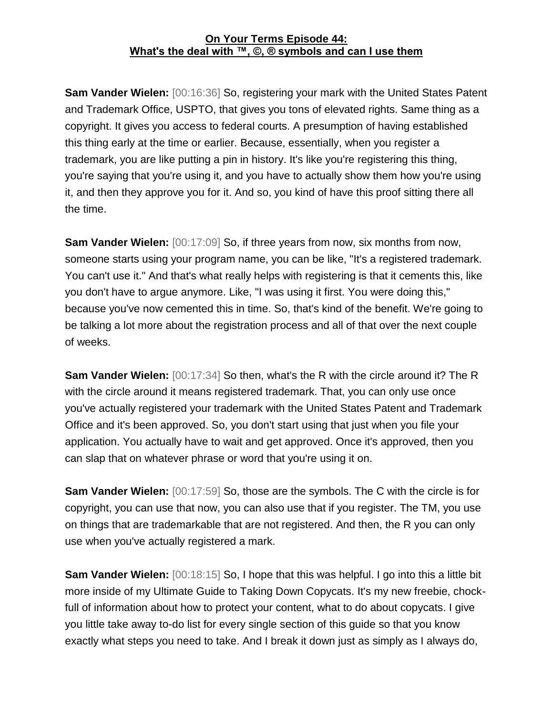**Sam Vander Wielen:** [00:16:36] So, registering your mark with the United States Patent and Trademark Office, USPTO, that gives you tons of elevated rights. Same thing as a copyright. It gives you access to federal courts. A presumption of having established this thing early at the time or earlier. Because, essentially, when you register a trademark, you are like putting a pin in history. It's like you're registering this thing, you're saying that you're using it, and you have to actually show them how you're using it, and then they approve you for it. And so, you kind of have this proof sitting there all the time.

**Sam Vander Wielen:** [00:17:09] So, if three years from now, six months from now, someone starts using your program name, you can be like, "It's a registered trademark. You can't use it." And that's what really helps with registering is that it cements this, like you don't have to argue anymore. Like, "I was using it first. You were doing this," because you've now cemented this in time. So, that's kind of the benefit. We're going to be talking a lot more about the registration process and all of that over the next couple of weeks.

**Sam Vander Wielen:** [00:17:34] So then, what's the R with the circle around it? The R with the circle around it means registered trademark. That, you can only use once you've actually registered your trademark with the United States Patent and Trademark Office and it's been approved. So, you don't start using that just when you file your application. You actually have to wait and get approved. Once it's approved, then you can slap that on whatever phrase or word that you're using it on.

**Sam Vander Wielen:** [00:17:59] So, those are the symbols. The C with the circle is for copyright, you can use that now, you can also use that if you register. The TM, you use on things that are trademarkable that are not registered. And then, the R you can only use when you've actually registered a mark.

**Sam Vander Wielen:** [00:18:15] So, I hope that this was helpful. I go into this a little bit more inside of my Ultimate Guide to Taking Down Copycats. It's my new freebie, chockfull of information about how to protect your content, what to do about copycats. I give you little take away to-do list for every single section of this guide so that you know exactly what steps you need to take. And I break it down just as simply as I always do,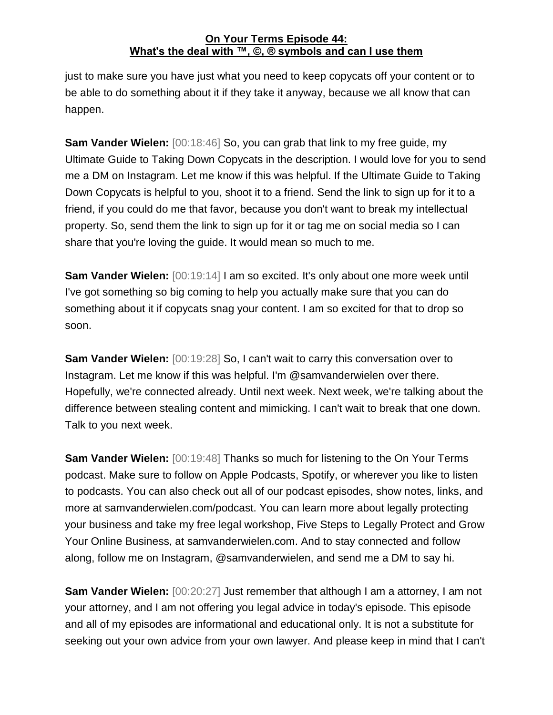just to make sure you have just what you need to keep copycats off your content or to be able to do something about it if they take it anyway, because we all know that can happen.

**Sam Vander Wielen:** [00:18:46] So, you can grab that link to my free guide, my Ultimate Guide to Taking Down Copycats in the description. I would love for you to send me a DM on Instagram. Let me know if this was helpful. If the Ultimate Guide to Taking Down Copycats is helpful to you, shoot it to a friend. Send the link to sign up for it to a friend, if you could do me that favor, because you don't want to break my intellectual property. So, send them the link to sign up for it or tag me on social media so I can share that you're loving the guide. It would mean so much to me.

**Sam Vander Wielen:** [00:19:14] I am so excited. It's only about one more week until I've got something so big coming to help you actually make sure that you can do something about it if copycats snag your content. I am so excited for that to drop so soon.

**Sam Vander Wielen:** [00:19:28] So, I can't wait to carry this conversation over to Instagram. Let me know if this was helpful. I'm @samvanderwielen over there. Hopefully, we're connected already. Until next week. Next week, we're talking about the difference between stealing content and mimicking. I can't wait to break that one down. Talk to you next week.

**Sam Vander Wielen:** [00:19:48] Thanks so much for listening to the On Your Terms podcast. Make sure to follow on Apple Podcasts, Spotify, or wherever you like to listen to podcasts. You can also check out all of our podcast episodes, show notes, links, and more at samvanderwielen.com/podcast. You can learn more about legally protecting your business and take my free legal workshop, Five Steps to Legally Protect and Grow Your Online Business, at samvanderwielen.com. And to stay connected and follow along, follow me on Instagram, @samvanderwielen, and send me a DM to say hi.

**Sam Vander Wielen:** [00:20:27] Just remember that although I am a attorney, I am not your attorney, and I am not offering you legal advice in today's episode. This episode and all of my episodes are informational and educational only. It is not a substitute for seeking out your own advice from your own lawyer. And please keep in mind that I can't